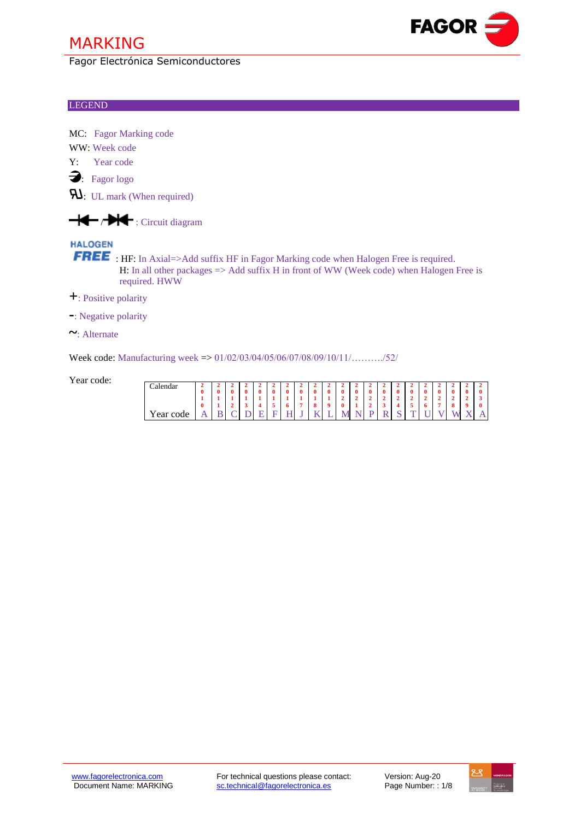Fagor Electrónica Semiconductores

### LEGEND

MC: Fagor Marking code

WW: Week code

Y: Year code

: Fagor logo

 $\mathbf{R}$ : UL mark (When required)



## **HALOGEN**

FREE: HF: In Axial=>Add suffix HF in Fagor Marking code when Halogen Free is required. H: In all other packages  $\Rightarrow$  Add suffix H in front of WW (Week code) when Halogen Free is required. HWW

**+**: Positive polarity

**-**: Negative polarity

**~**: Alternate

Week code: Manufacturing week => 01/02/03/04/05/06/07/08/09/10/11/………./52/

Year code:

| <i>C</i> alendar            |          |   |   |  |   |   |                        |             |                          |                          |          |   |   |        |        |     |                |              |     |
|-----------------------------|----------|---|---|--|---|---|------------------------|-------------|--------------------------|--------------------------|----------|---|---|--------|--------|-----|----------------|--------------|-----|
|                             | $\bf{0}$ |   |   |  | O | 0 | 0                      | 0           | 0                        | $\bf{0}$                 | $\bf{0}$ | 0 | 0 | ∩<br>v | ∩<br>v | . . | Λ<br>v         | 0            | v   |
|                             |          |   |   |  |   |   |                        |             | $\overline{\phantom{a}}$ | $\ddot{}$                |          |   |   |        |        |     |                |              |     |
|                             | $\bf{0}$ |   |   |  |   |   | $\bullet$<br>$\bullet$ | $\mathbf o$ | 0                        |                          |          |   |   |        | v      |     | $\bullet$<br>o | $\mathbf{a}$ | 0   |
| $\mathbf{r}$<br>car<br>code | A        | ◡ | ້ |  |   | v | TZ<br>                 | -           | VI<br>-17                | $\overline{\phantom{a}}$ |          |   | ົ | ÷      | ີ      |     | w              | x.z<br>. .   | . . |



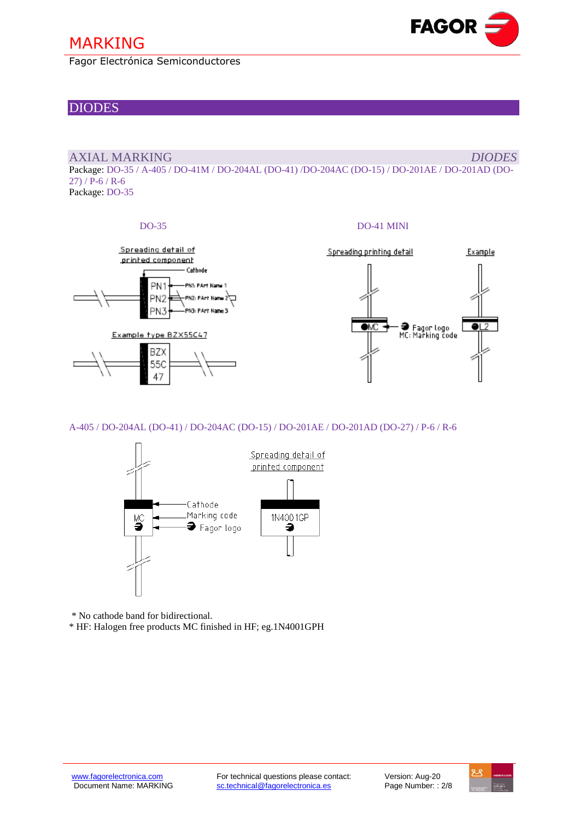Fagor Electrónica Semiconductores

## DIODES

### AXIAL MARKING *DIODES*

Package: DO-35 / A-405 / DO-41M / DO-204AL (DO-41) /DO-204AC (DO-15) / DO-201AE / DO-201AD (DO- $27)$  / P-6 / R-6 Package: DO-35

### DO-35 DO-41 MINI



- ● Fagor logo<br>MC: Marking code

**Fagor Electrónica, S. Coop.**

Example

**FAGOR** 

A-405 / DO-204AL (DO-41) / DO-204AC (DO-15) / DO-201AE / DO-201AD (DO-27) / P-6 / R-6



\* No cathode band for bidirectional.

\* HF: Halogen free products MC finished in HF; eg.1N4001GPH

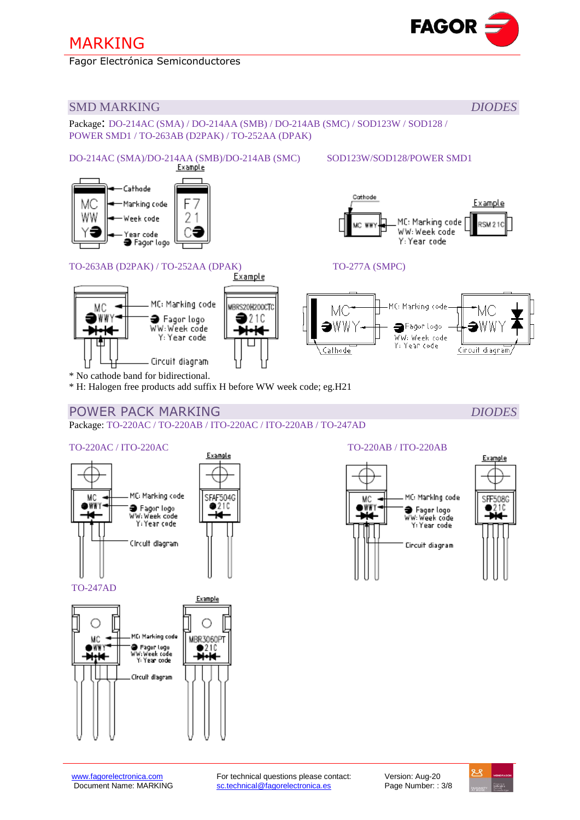Fagor Electrónica Semiconductores



## SMD MARKING *DIODES*

Package: DO-214AC (SMA) / DO-214AA (SMB) / DO-214AB (SMC) / SOD123W / SOD128 / POWER SMD1 / TO-263AB (D2PAK) / TO-252AA (DPAK)

# DO-214AC (SMA)/DO-214AA (SMB)/DO-214AB (SMC) SOD123W/SOD128/POWER SMD1

Cathode МC Marking code F WW 2 Week code ear code **a** Fagor logo



# TO-263AB (D2PAK) / TO-252AA (DPAK) TO-277A (SMPC)



\* No cathode band for bidirectional.

\* H: Halogen free products add suffix H before WW week code; eg.H21

# POWER PACK MARKING **DIODES**

Package: TO-220AC / TO-220AB / ITO-220AC / ITO-220AB / TO-247AD

SFAF504G

 $9210$ 

# TO-220AC / ITO-220AC  $\frac{Example}{Example}$



TO-247AD









Example

**RSM 210** 



Cathode

**MC WW** 



MC: Marking code

WW: Week code

Y: Year code

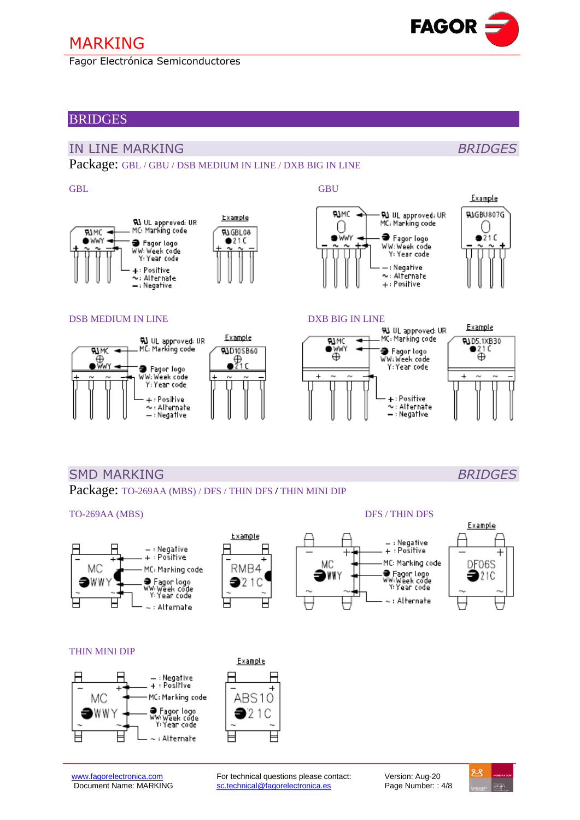Fagor Electrónica Semiconductores

## **BRIDGES**

## IN LINE MARKING *BRIDGES*

Package: GBL / GBU / DSB MEDIUM IN LINE / DXB BIG IN LINE

### GBL GBU



### DSB MEDIUM IN LINE DXB BIG IN LINE



 $\sim$ : Alternate







## SMD MARKING *BRIDGES*

Package: TO-269AA (MBS) / DFS / THIN DFS **/** THIN MINI DIP

### TO-269AA (MBS) DFS / THIN DFS Example  $-$ : Negative - : Negative + : Positive + : Pośitive MC: Marking code MC MC MC: Marking cod<mark>e</mark> RMB4 ● Fagor Logo<br>WW:Week code<br>Y:Year code DWWY )WWY ● Fagor logo<br>WW:Week code<br>Y:Year code  $21C$



⊢

Ή





### THIN MINI DIP





[www.fagorelectronica.com](http://www.fagorelectronica.com/) **For technical questions please contact:** Version: Aug-20<br>
Document Name: MARKING sc.technical@fagorelectronica.es Page Number: : [sc.technical@fagorelectronica.es](mailto:sc.technical@fagorelectronica.es) Page Number: : 4/8

: Alternate



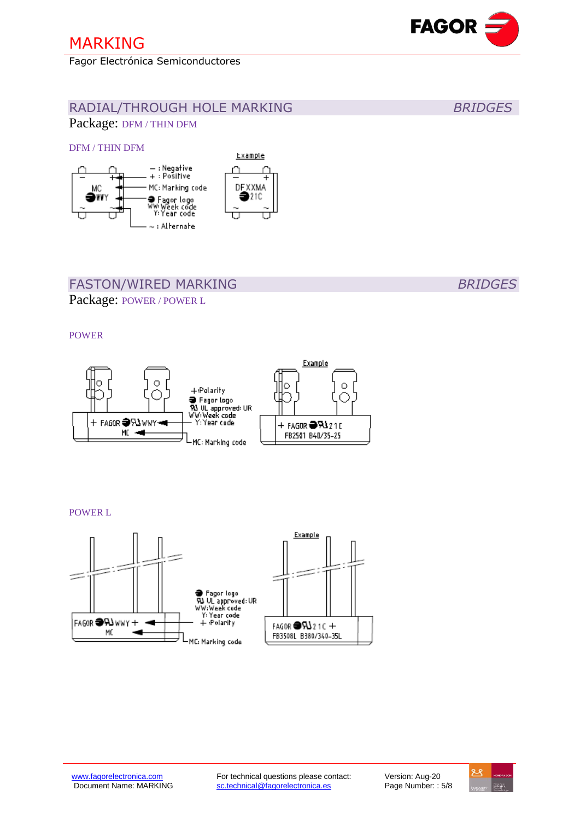DFM / THIN DFM

Fagor Electrónica Semiconductores

Package: DFM / THIN DFM





# **FASTON/WIRED MARKING** BRIDGES

Package: POWER / POWER L

POWER



POWER L





RADIAL/THROUGH HOLE MARKING *BRIDGES*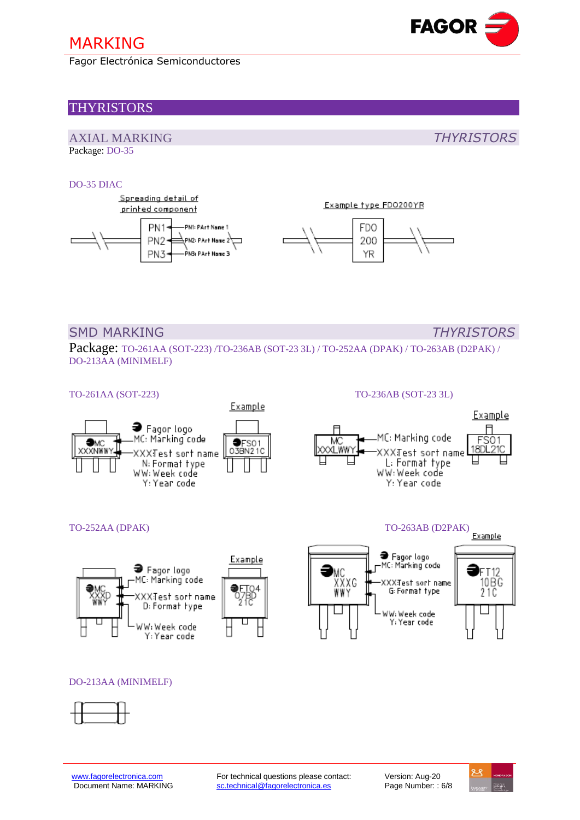Fagor Electrónica Semiconductores

## THYRISTORS

### AXIAL MARKING *THYRISTORS* Package: DO-35

### DO-35 DIAC



## SMD MARKING *THYRISTORS*

Package: TO-261AA (SOT-223) /TO-236AB (SOT-23 3L) / TO-252AA (DPAK) / TO-263AB (D2PAK) / DO-213AA (MINIMELF)



TO-252AA (DPAK) TO-263AB (D2PAK)







● Fagor logo

MC: Marking code

XXX:Test sort name

G: Format type

WW: Week code Y: Year code



Example

FT12

10BC<br>21C



XXXG

WWY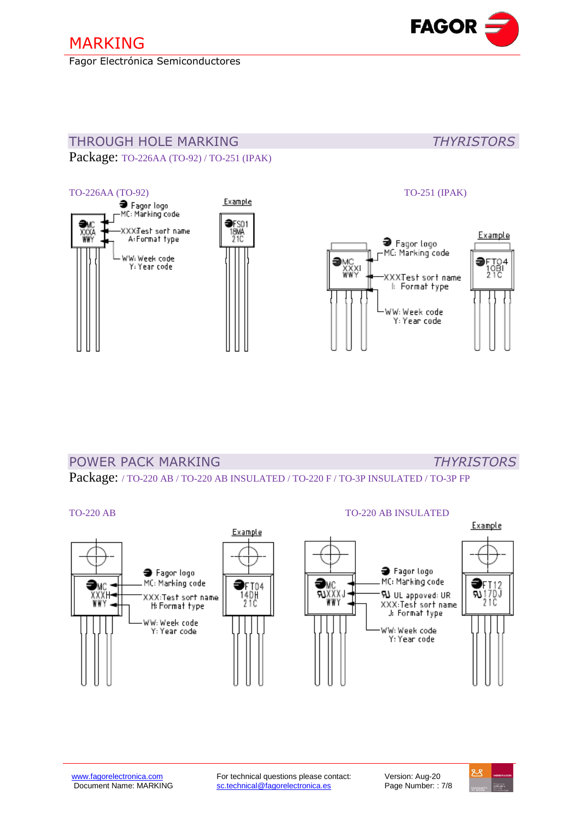Fagor Electrónica Semiconductores



# THROUGH HOLE MARKING *THYRISTORS*

Package: TO-226AA (TO-92) / TO-251 (IPAK)



# POWER PACK MARKING *THYRISTORS*

Package: / TO-220 AB / TO-220 AB INSULATED / TO-220 F / TO-3P INSULATED / TO-3P FP

### TO-220 AB TO-220 AB INSULATED